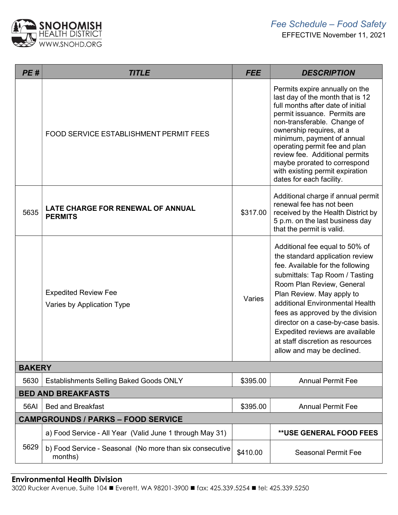

| PE#                                       | <b>TITLE</b>                                                        | <b>FEE</b> | <b>DESCRIPTION</b>                                                                                                                                                                                                                                                                                                                                                                                                 |  |
|-------------------------------------------|---------------------------------------------------------------------|------------|--------------------------------------------------------------------------------------------------------------------------------------------------------------------------------------------------------------------------------------------------------------------------------------------------------------------------------------------------------------------------------------------------------------------|--|
|                                           | <b>FOOD SERVICE ESTABLISHMENT PERMIT FEES</b>                       |            | Permits expire annually on the<br>last day of the month that is 12<br>full months after date of initial<br>permit issuance. Permits are<br>non-transferable. Change of<br>ownership requires, at a<br>minimum, payment of annual<br>operating permit fee and plan<br>review fee. Additional permits<br>maybe prorated to correspond<br>with existing permit expiration<br>dates for each facility.                 |  |
| 5635                                      | LATE CHARGE FOR RENEWAL OF ANNUAL<br><b>PERMITS</b>                 | \$317.00   | Additional charge if annual permit<br>renewal fee has not been<br>received by the Health District by<br>5 p.m. on the last business day<br>that the permit is valid.                                                                                                                                                                                                                                               |  |
|                                           | <b>Expedited Review Fee</b><br>Varies by Application Type           | Varies     | Additional fee equal to 50% of<br>the standard application review<br>fee. Available for the following<br>submittals: Tap Room / Tasting<br>Room Plan Review, General<br>Plan Review. May apply to<br>additional Environmental Health<br>fees as approved by the division<br>director on a case-by-case basis.<br>Expedited reviews are available<br>at staff discretion as resources<br>allow and may be declined. |  |
| <b>BAKERY</b>                             |                                                                     |            |                                                                                                                                                                                                                                                                                                                                                                                                                    |  |
| 5630                                      | <b>Establishments Selling Baked Goods ONLY</b>                      | \$395.00   | <b>Annual Permit Fee</b>                                                                                                                                                                                                                                                                                                                                                                                           |  |
| <b>BED AND BREAKFASTS</b>                 |                                                                     |            |                                                                                                                                                                                                                                                                                                                                                                                                                    |  |
| 56AI                                      | <b>Bed and Breakfast</b>                                            | \$395.00   | <b>Annual Permit Fee</b>                                                                                                                                                                                                                                                                                                                                                                                           |  |
| <b>CAMPGROUNDS / PARKS - FOOD SERVICE</b> |                                                                     |            |                                                                                                                                                                                                                                                                                                                                                                                                                    |  |
|                                           | a) Food Service - All Year (Valid June 1 through May 31)            |            | <b>**USE GENERAL FOOD FEES</b>                                                                                                                                                                                                                                                                                                                                                                                     |  |
| 5629                                      | b) Food Service - Seasonal (No more than six consecutive<br>months) | \$410.00   | <b>Seasonal Permit Fee</b>                                                                                                                                                                                                                                                                                                                                                                                         |  |

## Environmental Health Division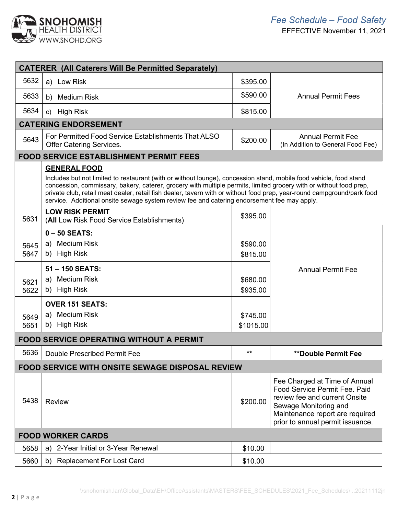

| <b>CATERER (All Caterers Will Be Permitted Separately)</b>                                                                                                                                                                                                                                                                                                                                                                                                                                |                                                                                                                                |                                              |                                                                                                                                                                                                 |
|-------------------------------------------------------------------------------------------------------------------------------------------------------------------------------------------------------------------------------------------------------------------------------------------------------------------------------------------------------------------------------------------------------------------------------------------------------------------------------------------|--------------------------------------------------------------------------------------------------------------------------------|----------------------------------------------|-------------------------------------------------------------------------------------------------------------------------------------------------------------------------------------------------|
| 5632                                                                                                                                                                                                                                                                                                                                                                                                                                                                                      | a) Low Risk                                                                                                                    | \$395.00                                     |                                                                                                                                                                                                 |
| 5633                                                                                                                                                                                                                                                                                                                                                                                                                                                                                      | b) Medium Risk                                                                                                                 | \$590.00                                     | <b>Annual Permit Fees</b>                                                                                                                                                                       |
| 5634                                                                                                                                                                                                                                                                                                                                                                                                                                                                                      | c) High Risk                                                                                                                   | \$815.00                                     |                                                                                                                                                                                                 |
|                                                                                                                                                                                                                                                                                                                                                                                                                                                                                           | <b>CATERING ENDORSEMENT</b>                                                                                                    |                                              |                                                                                                                                                                                                 |
| 5643                                                                                                                                                                                                                                                                                                                                                                                                                                                                                      | For Permitted Food Service Establishments That ALSO<br><b>Offer Catering Services.</b>                                         | \$200.00                                     | <b>Annual Permit Fee</b><br>(In Addition to General Food Fee)                                                                                                                                   |
|                                                                                                                                                                                                                                                                                                                                                                                                                                                                                           | <b>FOOD SERVICE ESTABLISHMENT PERMIT FEES</b>                                                                                  |                                              |                                                                                                                                                                                                 |
| <b>GENERAL FOOD</b><br>Includes but not limited to restaurant (with or without lounge), concession stand, mobile food vehicle, food stand<br>concession, commissary, bakery, caterer, grocery with multiple permits, limited grocery with or without food prep,<br>private club, retail meat dealer, retail fish dealer, tavern with or without food prep, year-round campground/park food<br>service. Additional onsite sewage system review fee and catering endorsement fee may apply. |                                                                                                                                |                                              |                                                                                                                                                                                                 |
| 5631                                                                                                                                                                                                                                                                                                                                                                                                                                                                                      | <b>LOW RISK PERMIT</b><br>(All Low Risk Food Service Establishments)                                                           | \$395.00                                     |                                                                                                                                                                                                 |
| 5645<br>5647<br>5621<br>5622                                                                                                                                                                                                                                                                                                                                                                                                                                                              | $0 - 50$ SEATS:<br>a) Medium Risk<br>b) High Risk<br>51-150 SEATS:<br>a) Medium Risk<br>b) High Risk<br><b>OVER 151 SEATS:</b> | \$590.00<br>\$815.00<br>\$680.00<br>\$935.00 | <b>Annual Permit Fee</b>                                                                                                                                                                        |
| 5649<br>5651                                                                                                                                                                                                                                                                                                                                                                                                                                                                              | a) Medium Risk<br>b) High Risk                                                                                                 | \$745.00<br>\$1015.00                        |                                                                                                                                                                                                 |
| <b>FOOD SERVICE OPERATING WITHOUT A PERMIT</b>                                                                                                                                                                                                                                                                                                                                                                                                                                            |                                                                                                                                |                                              |                                                                                                                                                                                                 |
| 5636                                                                                                                                                                                                                                                                                                                                                                                                                                                                                      | Double Prescribed Permit Fee                                                                                                   |                                              | **Double Permit Fee                                                                                                                                                                             |
|                                                                                                                                                                                                                                                                                                                                                                                                                                                                                           | <b>FOOD SERVICE WITH ONSITE SEWAGE DISPOSAL REVIEW</b>                                                                         |                                              |                                                                                                                                                                                                 |
| 5438                                                                                                                                                                                                                                                                                                                                                                                                                                                                                      | <b>Review</b>                                                                                                                  | \$200.00                                     | Fee Charged at Time of Annual<br>Food Service Permit Fee. Paid<br>review fee and current Onsite<br>Sewage Monitoring and<br>Maintenance report are required<br>prior to annual permit issuance. |
| <b>FOOD WORKER CARDS</b>                                                                                                                                                                                                                                                                                                                                                                                                                                                                  |                                                                                                                                |                                              |                                                                                                                                                                                                 |
| 5658                                                                                                                                                                                                                                                                                                                                                                                                                                                                                      | 2-Year Initial or 3-Year Renewal<br>a)                                                                                         | \$10.00                                      |                                                                                                                                                                                                 |
| 5660                                                                                                                                                                                                                                                                                                                                                                                                                                                                                      | <b>Replacement For Lost Card</b><br>b)                                                                                         | \$10.00                                      |                                                                                                                                                                                                 |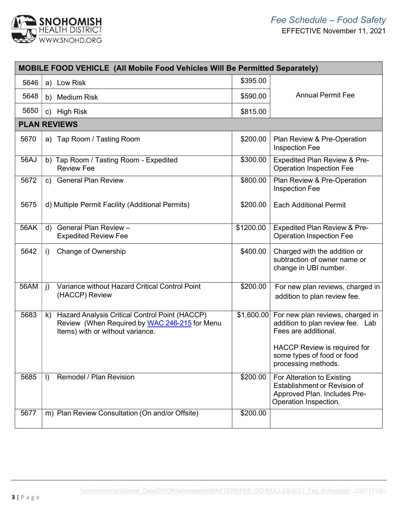

| <b>MOBILE FOOD VEHICLE (All Mobile Food Vehicles Will Be Permitted Separately)</b> |                                                                                                                                           |            |                                                                                                                                     |
|------------------------------------------------------------------------------------|-------------------------------------------------------------------------------------------------------------------------------------------|------------|-------------------------------------------------------------------------------------------------------------------------------------|
| 5646                                                                               | a) Low Risk                                                                                                                               | \$395.00   |                                                                                                                                     |
| 5648                                                                               | b) Medium Risk                                                                                                                            | \$590.00   | <b>Annual Permit Fee</b>                                                                                                            |
| 5650                                                                               | <b>High Risk</b><br>C)                                                                                                                    | \$815.00   |                                                                                                                                     |
|                                                                                    | <b>PLAN REVIEWS</b>                                                                                                                       |            |                                                                                                                                     |
| 5670                                                                               | a) Tap Room / Tasting Room                                                                                                                | \$200.00   | Plan Review & Pre-Operation<br><b>Inspection Fee</b>                                                                                |
| 56AJ                                                                               | b) Tap Room / Tasting Room - Expedited<br><b>Review Fee</b>                                                                               | \$300.00   | <b>Expedited Plan Review &amp; Pre-</b><br><b>Operation Inspection Fee</b>                                                          |
| 5672                                                                               | c) General Plan Review                                                                                                                    | \$800.00   | Plan Review & Pre-Operation<br>Inspection Fee                                                                                       |
| 5675                                                                               | d) Multiple Permit Facility (Additional Permits)                                                                                          | \$200.00   | <b>Each Additional Permit</b>                                                                                                       |
| 56AK                                                                               | General Plan Review -<br>d)<br><b>Expedited Review Fee</b>                                                                                | \$1200.00  | Expedited Plan Review & Pre-<br><b>Operation Inspection Fee</b>                                                                     |
| 5642                                                                               | Change of Ownership<br>i)                                                                                                                 | \$400.00   | Charged with the addition or<br>subtraction of owner name or<br>change in UBI number.                                               |
| 56AM                                                                               | Variance without Hazard Critical Control Point<br>$\mathbf{j}$<br>(HACCP) Review                                                          | \$200.00   | For new plan reviews, charged in<br>addition to plan review fee.                                                                    |
| 5683                                                                               | Hazard Analysis Critical Control Point (HACCP)<br>k)<br>Review (When Required by WAC 246-215 for Menu<br>Items) with or without variance. | \$1,600.00 | For new plan reviews, charged in<br>addition to plan review fee. Lab<br>Fees are additional.<br><b>HACCP Review is required for</b> |
|                                                                                    |                                                                                                                                           |            | some types of food or food<br>processing methods.                                                                                   |
| 5685                                                                               | Remodel / Plan Revision<br>$\vert$ )                                                                                                      | \$200.00   | For Alteration to Existing<br>Establishment or Revision of<br>Approved Plan. Includes Pre-<br>Operation Inspection.                 |
| 5677                                                                               | m) Plan Review Consultation (On and/or Offsite)                                                                                           | \$200.00   |                                                                                                                                     |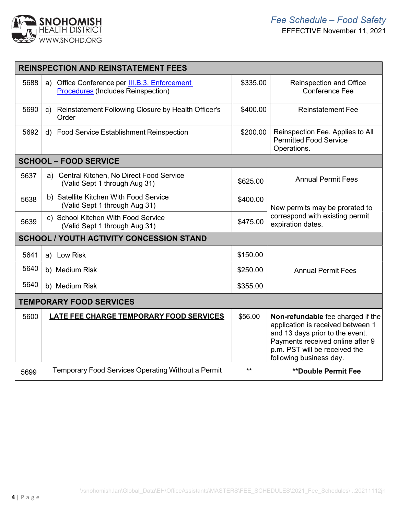

| <b>REINSPECTION AND REINSTATEMENT FEES</b> |                                                                                                      |          |                                                                                                                                                                                                           |  |
|--------------------------------------------|------------------------------------------------------------------------------------------------------|----------|-----------------------------------------------------------------------------------------------------------------------------------------------------------------------------------------------------------|--|
| 5688                                       | Office Conference per <b>III.B.3, Enforcement</b><br>a)<br><b>Procedures</b> (Includes Reinspection) | \$335.00 | <b>Reinspection and Office</b><br><b>Conference Fee</b>                                                                                                                                                   |  |
| 5690                                       | Reinstatement Following Closure by Health Officer's<br>$\mathsf{C}$<br>Order                         | \$400.00 | <b>Reinstatement Fee</b>                                                                                                                                                                                  |  |
| 5692                                       | d) Food Service Establishment Reinspection                                                           | \$200.00 | Reinspection Fee. Applies to All<br><b>Permitted Food Service</b><br>Operations.                                                                                                                          |  |
|                                            | <b>SCHOOL - FOOD SERVICE</b>                                                                         |          |                                                                                                                                                                                                           |  |
| 5637                                       | a) Central Kitchen, No Direct Food Service<br>(Valid Sept 1 through Aug 31)                          | \$625.00 | <b>Annual Permit Fees</b>                                                                                                                                                                                 |  |
| 5638                                       | b) Satellite Kitchen With Food Service<br>(Valid Sept 1 through Aug 31)                              | \$400.00 | New permits may be prorated to                                                                                                                                                                            |  |
| 5639                                       | c) School Kitchen With Food Service<br>(Valid Sept 1 through Aug 31)                                 | \$475.00 | correspond with existing permit<br>expiration dates.                                                                                                                                                      |  |
|                                            | <b>SCHOOL / YOUTH ACTIVITY CONCESSION STAND</b>                                                      |          |                                                                                                                                                                                                           |  |
| 5641                                       | a) Low Risk                                                                                          | \$150.00 |                                                                                                                                                                                                           |  |
| 5640                                       | b) Medium Risk                                                                                       | \$250.00 | <b>Annual Permit Fees</b>                                                                                                                                                                                 |  |
| 5640                                       | b) Medium Risk                                                                                       | \$355.00 |                                                                                                                                                                                                           |  |
| <b>TEMPORARY FOOD SERVICES</b>             |                                                                                                      |          |                                                                                                                                                                                                           |  |
| 5600                                       | <b>LATE FEE CHARGE TEMPORARY FOOD SERVICES</b>                                                       | \$56.00  | Non-refundable fee charged if the<br>application is received between 1<br>and 13 days prior to the event.<br>Payments received online after 9<br>p.m. PST will be received the<br>following business day. |  |
| 5699                                       | <b>Temporary Food Services Operating Without a Permit</b>                                            | $***$    | <b>**Double Permit Fee</b>                                                                                                                                                                                |  |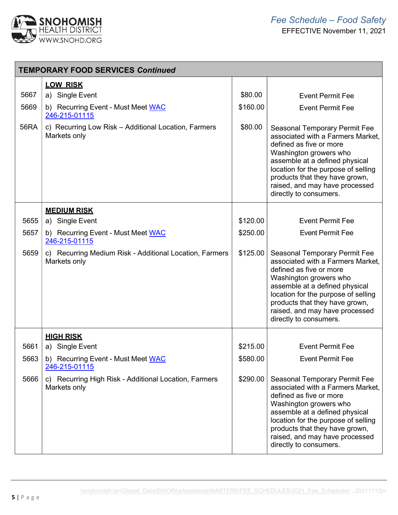

| <b>TEMPORARY FOOD SERVICES Continued</b> |                                                                         |          |                                                                                                                                                                                                                                                                                                       |
|------------------------------------------|-------------------------------------------------------------------------|----------|-------------------------------------------------------------------------------------------------------------------------------------------------------------------------------------------------------------------------------------------------------------------------------------------------------|
|                                          | <b>LOW RISK</b>                                                         |          |                                                                                                                                                                                                                                                                                                       |
| 5667                                     | a) Single Event                                                         | \$80.00  | <b>Event Permit Fee</b>                                                                                                                                                                                                                                                                               |
| 5669                                     | b) Recurring Event - Must Meet WAC<br>246-215-01115                     | \$160.00 | <b>Event Permit Fee</b>                                                                                                                                                                                                                                                                               |
| 56RA                                     | c) Recurring Low Risk - Additional Location, Farmers<br>Markets only    | \$80.00  | <b>Seasonal Temporary Permit Fee</b><br>associated with a Farmers Market,<br>defined as five or more<br>Washington growers who<br>assemble at a defined physical<br>location for the purpose of selling<br>products that they have grown,<br>raised, and may have processed<br>directly to consumers. |
|                                          | <b>MEDIUM RISK</b>                                                      |          |                                                                                                                                                                                                                                                                                                       |
| 5655                                     | a) Single Event                                                         | \$120.00 | <b>Event Permit Fee</b>                                                                                                                                                                                                                                                                               |
| 5657                                     | b) Recurring Event - Must Meet WAC<br>246-215-01115                     | \$250.00 | <b>Event Permit Fee</b>                                                                                                                                                                                                                                                                               |
| 5659                                     | c) Recurring Medium Risk - Additional Location, Farmers<br>Markets only | \$125.00 | <b>Seasonal Temporary Permit Fee</b><br>associated with a Farmers Market,<br>defined as five or more<br>Washington growers who<br>assemble at a defined physical<br>location for the purpose of selling<br>products that they have grown,<br>raised, and may have processed<br>directly to consumers. |
|                                          | <b>HIGH RISK</b>                                                        |          |                                                                                                                                                                                                                                                                                                       |
| 5661                                     | a) Single Event                                                         | \$215.00 | <b>Event Permit Fee</b>                                                                                                                                                                                                                                                                               |
| 5663                                     | b) Recurring Event - Must Meet WAC<br>246-215-01115                     | \$580.00 | <b>Event Permit Fee</b>                                                                                                                                                                                                                                                                               |
| 5666                                     | c) Recurring High Risk - Additional Location, Farmers<br>Markets only   | \$290.00 | <b>Seasonal Temporary Permit Fee</b><br>associated with a Farmers Market,<br>defined as five or more<br>Washington growers who<br>assemble at a defined physical<br>location for the purpose of selling<br>products that they have grown,<br>raised, and may have processed<br>directly to consumers. |